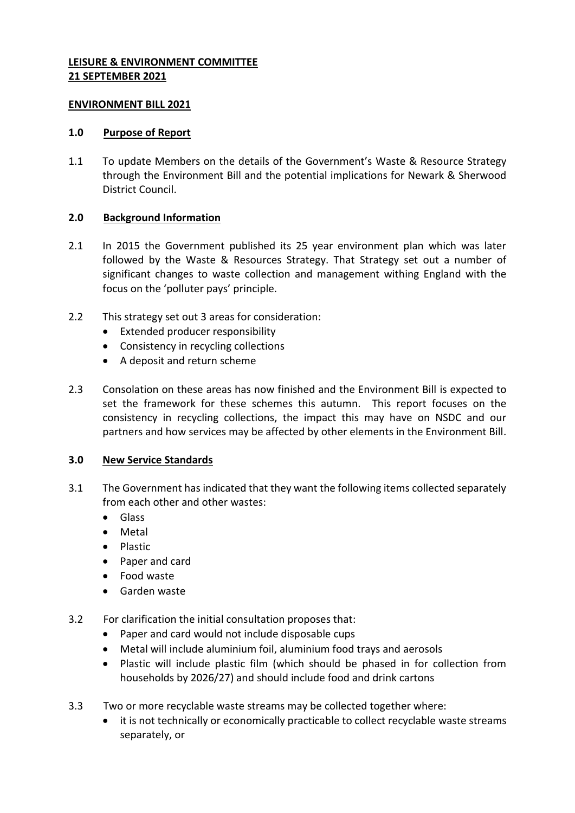### **LEISURE & ENVIRONMENT COMMITTEE 21 SEPTEMBER 2021**

### **ENVIRONMENT BILL 2021**

### **1.0 Purpose of Report**

1.1 To update Members on the details of the Government's Waste & Resource Strategy through the Environment Bill and the potential implications for Newark & Sherwood District Council.

# **2.0 Background Information**

- 2.1 In 2015 the Government published its 25 year environment plan which was later followed by the Waste & Resources Strategy. That Strategy set out a number of significant changes to waste collection and management withing England with the focus on the 'polluter pays' principle.
- 2.2 This strategy set out 3 areas for consideration:
	- Extended producer responsibility
	- Consistency in recycling collections
	- A deposit and return scheme
- 2.3 Consolation on these areas has now finished and the Environment Bill is expected to set the framework for these schemes this autumn. This report focuses on the consistency in recycling collections, the impact this may have on NSDC and our partners and how services may be affected by other elements in the Environment Bill.

# **3.0 New Service Standards**

- 3.1 The Government has indicated that they want the following items collected separately from each other and other wastes:
	- **•** Glass
	- Metal
	- Plastic
	- Paper and card
	- Food waste
	- Garden waste
- 3.2 For clarification the initial consultation proposes that:
	- Paper and card would not include disposable cups
	- Metal will include aluminium foil, aluminium food trays and aerosols
	- Plastic will include plastic film (which should be phased in for collection from households by 2026/27) and should include food and drink cartons
- 3.3 Two or more recyclable waste streams may be collected together where:
	- it is not technically or economically practicable to collect recyclable waste streams separately, or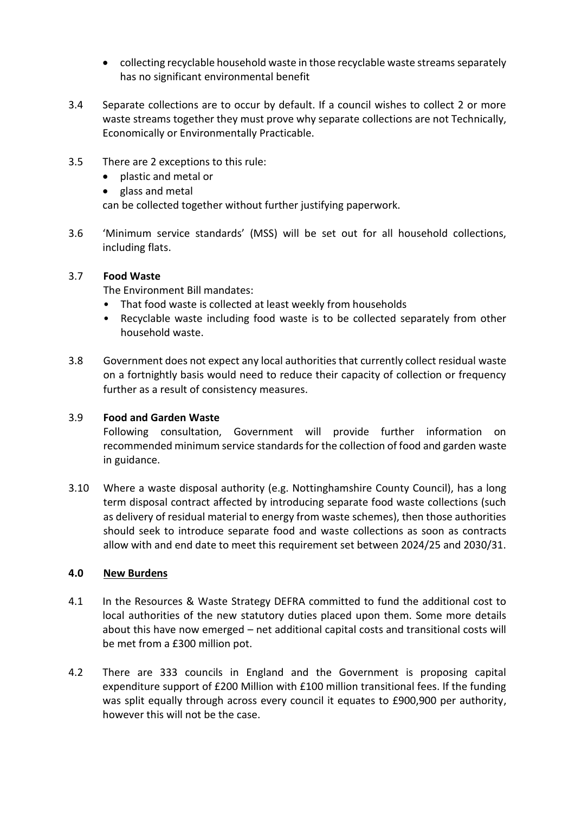- collecting recyclable household waste in those recyclable waste streams separately has no significant environmental benefit
- 3.4 Separate collections are to occur by default. If a council wishes to collect 2 or more waste streams together they must prove why separate collections are not Technically, Economically or Environmentally Practicable.
- 3.5 There are 2 exceptions to this rule:
	- plastic and metal or
	- glass and metal

can be collected together without further justifying paperwork.

3.6 'Minimum service standards' (MSS) will be set out for all household collections, including flats.

### 3.7 **Food Waste**

The Environment Bill mandates:

- That food waste is collected at least weekly from households
- Recyclable waste including food waste is to be collected separately from other household waste.
- 3.8 Government does not expect any local authorities that currently collect residual waste on a fortnightly basis would need to reduce their capacity of collection or frequency further as a result of consistency measures.

# 3.9 **Food and Garden Waste**

Following consultation, Government will provide further information on recommended minimum service standards for the collection of food and garden waste in guidance.

3.10 Where a waste disposal authority (e.g. Nottinghamshire County Council), has a long term disposal contract affected by introducing separate food waste collections (such as delivery of residual material to energy from waste schemes), then those authorities should seek to introduce separate food and waste collections as soon as contracts allow with and end date to meet this requirement set between 2024/25 and 2030/31.

### **4.0 New Burdens**

- 4.1 In the Resources & Waste Strategy DEFRA committed to fund the additional cost to local authorities of the new statutory duties placed upon them. Some more details about this have now emerged – net additional capital costs and transitional costs will be met from a £300 million pot.
- 4.2 There are 333 councils in England and the Government is proposing capital expenditure support of £200 Million with £100 million transitional fees. If the funding was split equally through across every council it equates to £900,900 per authority, however this will not be the case.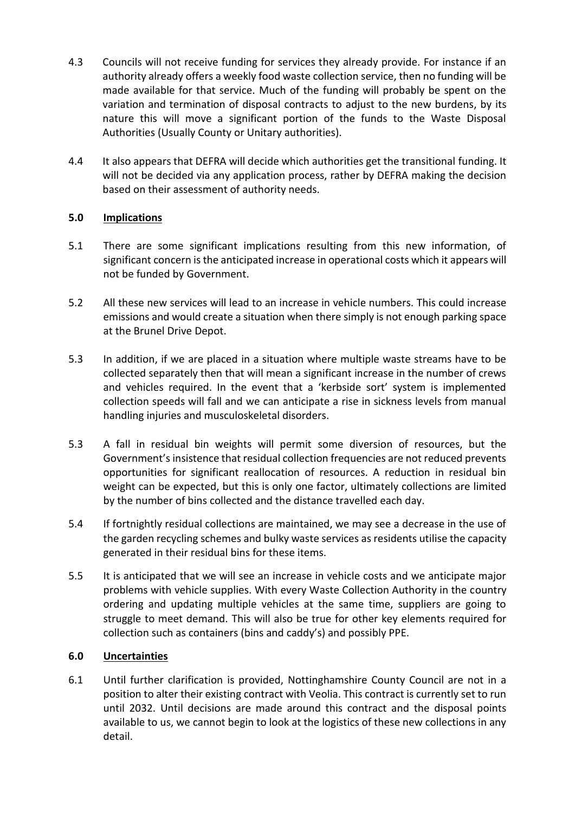- 4.3 Councils will not receive funding for services they already provide. For instance if an authority already offers a weekly food waste collection service, then no funding will be made available for that service. Much of the funding will probably be spent on the variation and termination of disposal contracts to adjust to the new burdens, by its nature this will move a significant portion of the funds to the Waste Disposal Authorities (Usually County or Unitary authorities).
- 4.4 It also appears that DEFRA will decide which authorities get the transitional funding. It will not be decided via any application process, rather by DEFRA making the decision based on their assessment of authority needs.

# **5.0 Implications**

- 5.1 There are some significant implications resulting from this new information, of significant concern is the anticipated increase in operational costs which it appears will not be funded by Government.
- 5.2 All these new services will lead to an increase in vehicle numbers. This could increase emissions and would create a situation when there simply is not enough parking space at the Brunel Drive Depot.
- 5.3 In addition, if we are placed in a situation where multiple waste streams have to be collected separately then that will mean a significant increase in the number of crews and vehicles required. In the event that a 'kerbside sort' system is implemented collection speeds will fall and we can anticipate a rise in sickness levels from manual handling injuries and musculoskeletal disorders.
- 5.3 A fall in residual bin weights will permit some diversion of resources, but the Government's insistence that residual collection frequencies are not reduced prevents opportunities for significant reallocation of resources. A reduction in residual bin weight can be expected, but this is only one factor, ultimately collections are limited by the number of bins collected and the distance travelled each day.
- 5.4 If fortnightly residual collections are maintained, we may see a decrease in the use of the garden recycling schemes and bulky waste services as residents utilise the capacity generated in their residual bins for these items.
- 5.5 It is anticipated that we will see an increase in vehicle costs and we anticipate major problems with vehicle supplies. With every Waste Collection Authority in the country ordering and updating multiple vehicles at the same time, suppliers are going to struggle to meet demand. This will also be true for other key elements required for collection such as containers (bins and caddy's) and possibly PPE.

# **6.0 Uncertainties**

6.1 Until further clarification is provided, Nottinghamshire County Council are not in a position to alter their existing contract with Veolia. This contract is currently set to run until 2032. Until decisions are made around this contract and the disposal points available to us, we cannot begin to look at the logistics of these new collections in any detail.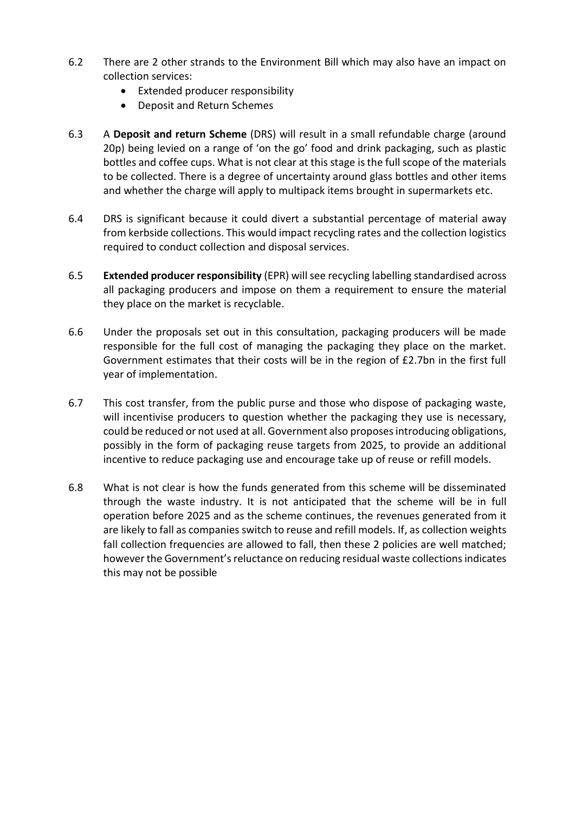- 6.2 There are 2 other strands to the Environment Bill which may also have an impact on collection services:
	- Extended producer responsibility
	- Deposit and Return Schemes
- 6.3 A **Deposit and return Scheme** (DRS) will result in a small refundable charge (around 20p) being levied on a range of 'on the go' food and drink packaging, such as plastic bottles and coffee cups. What is not clear at this stage is the full scope of the materials to be collected. There is a degree of uncertainty around glass bottles and other items and whether the charge will apply to multipack items brought in supermarkets etc.
- 6.4 DRS is significant because it could divert a substantial percentage of material away from kerbside collections. This would impact recycling rates and the collection logistics required to conduct collection and disposal services.
- 6.5 **Extended producer responsibility** (EPR) will see recycling labelling standardised across all packaging producers and impose on them a requirement to ensure the material they place on the market is recyclable.
- 6.6 Under the proposals set out in this consultation, packaging producers will be made responsible for the full cost of managing the packaging they place on the market. Government estimates that their costs will be in the region of £2.7bn in the first full year of implementation.
- 6.7 This cost transfer, from the public purse and those who dispose of packaging waste, will incentivise producers to question whether the packaging they use is necessary, could be reduced or not used at all. Government also proposes introducing obligations, possibly in the form of packaging reuse targets from 2025, to provide an additional incentive to reduce packaging use and encourage take up of reuse or refill models.
- 6.8 What is not clear is how the funds generated from this scheme will be disseminated through the waste industry. It is not anticipated that the scheme will be in full operation before 2025 and as the scheme continues, the revenues generated from it are likely to fall as companies switch to reuse and refill models. If, as collection weights fall collection frequencies are allowed to fall, then these 2 policies are well matched; however the Government's reluctance on reducing residual waste collections indicates this may not be possible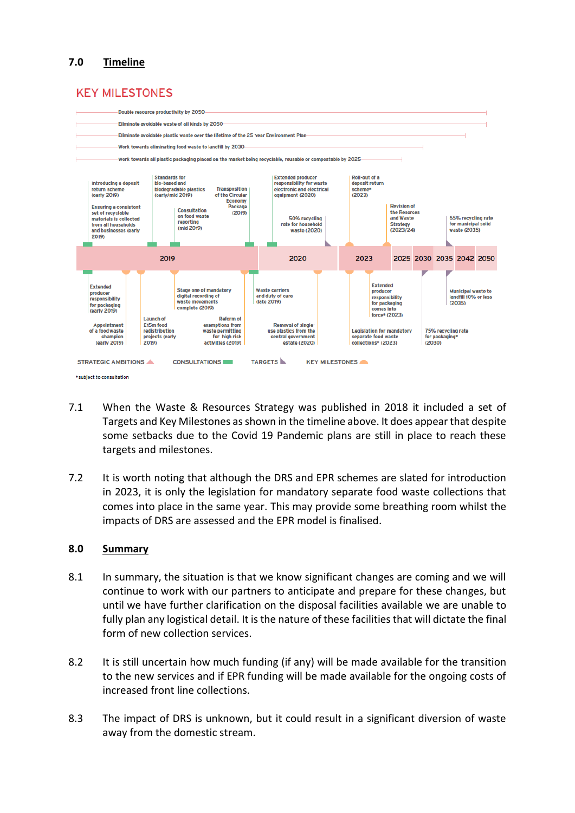# **7.0 Timeline**

# **KEY MILESTONES**



- 7.1 When the Waste & Resources Strategy was published in 2018 it included a set of Targets and Key Milestones as shown in the timeline above. It does appear that despite some setbacks due to the Covid 19 Pandemic plans are still in place to reach these targets and milestones.
- 7.2 It is worth noting that although the DRS and EPR schemes are slated for introduction in 2023, it is only the legislation for mandatory separate food waste collections that comes into place in the same year. This may provide some breathing room whilst the impacts of DRS are assessed and the EPR model is finalised.

### **8.0 Summary**

- 8.1 In summary, the situation is that we know significant changes are coming and we will continue to work with our partners to anticipate and prepare for these changes, but until we have further clarification on the disposal facilities available we are unable to fully plan any logistical detail. It is the nature of these facilities that will dictate the final form of new collection services.
- 8.2 It is still uncertain how much funding (if any) will be made available for the transition to the new services and if EPR funding will be made available for the ongoing costs of increased front line collections.
- 8.3 The impact of DRS is unknown, but it could result in a significant diversion of waste away from the domestic stream.